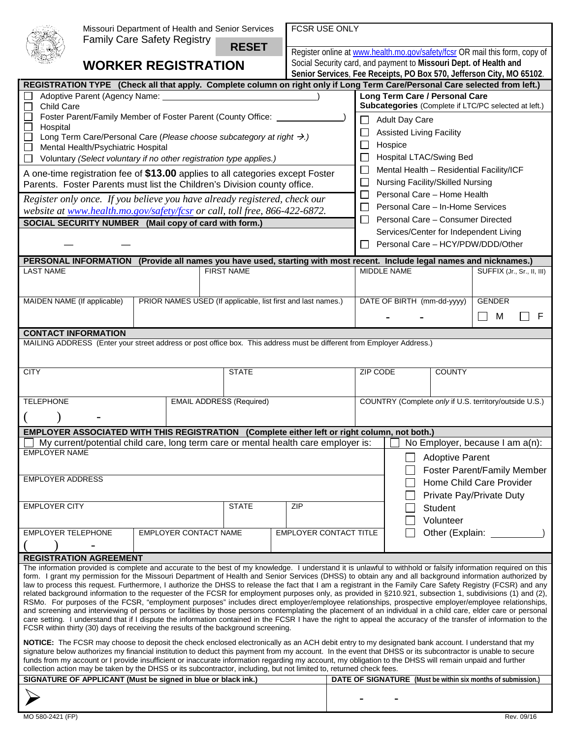|                                                                                                                                                                                                                                                                                  |                                                                                                                                                            | Missouri Department of Health and Senior Services<br><b>Family Care Safety Registry</b>                                                                                                                                                                                                                                   |                              |                                                      |                   |                                                              |                                                                   | FCSR USE ONLY                                                        |                                                        |                                        |                                                                                                    |                        |                            |  |  |
|----------------------------------------------------------------------------------------------------------------------------------------------------------------------------------------------------------------------------------------------------------------------------------|------------------------------------------------------------------------------------------------------------------------------------------------------------|---------------------------------------------------------------------------------------------------------------------------------------------------------------------------------------------------------------------------------------------------------------------------------------------------------------------------|------------------------------|------------------------------------------------------|-------------------|--------------------------------------------------------------|-------------------------------------------------------------------|----------------------------------------------------------------------|--------------------------------------------------------|----------------------------------------|----------------------------------------------------------------------------------------------------|------------------------|----------------------------|--|--|
|                                                                                                                                                                                                                                                                                  |                                                                                                                                                            |                                                                                                                                                                                                                                                                                                                           |                              |                                                      |                   | <b>RESET</b>                                                 |                                                                   |                                                                      |                                                        |                                        | Register online at www.health.mo.gov/safety/fcsr OR mail this form, copy of                        |                        |                            |  |  |
|                                                                                                                                                                                                                                                                                  | <b>WORKER REGISTRATION</b>                                                                                                                                 |                                                                                                                                                                                                                                                                                                                           |                              |                                                      |                   |                                                              | Social Security card, and payment to Missouri Dept. of Health and |                                                                      |                                                        |                                        |                                                                                                    |                        |                            |  |  |
| REGISTRATION TYPE (Check all that apply. Complete column on right only if Long Term Care/Personal Care selected from left.)                                                                                                                                                      |                                                                                                                                                            |                                                                                                                                                                                                                                                                                                                           |                              |                                                      |                   |                                                              |                                                                   | Senior Services, Fee Receipts, PO Box 570, Jefferson City, MO 65102. |                                                        |                                        |                                                                                                    |                        |                            |  |  |
|                                                                                                                                                                                                                                                                                  |                                                                                                                                                            | Adoptive Parent (Agency Name: _____                                                                                                                                                                                                                                                                                       |                              |                                                      |                   |                                                              |                                                                   |                                                                      |                                                        | Long Term Care / Personal Care         |                                                                                                    |                        |                            |  |  |
|                                                                                                                                                                                                                                                                                  | Child Care                                                                                                                                                 |                                                                                                                                                                                                                                                                                                                           |                              | Subcategories (Complete if LTC/PC selected at left.) |                   |                                                              |                                                                   |                                                                      |                                                        |                                        |                                                                                                    |                        |                            |  |  |
|                                                                                                                                                                                                                                                                                  | Foster Parent/Family Member of Foster Parent (County Office:                                                                                               |                                                                                                                                                                                                                                                                                                                           |                              |                                                      |                   |                                                              |                                                                   | Adult Day Care                                                       |                                                        |                                        |                                                                                                    |                        |                            |  |  |
|                                                                                                                                                                                                                                                                                  | Hospital<br>Long Term Care/Personal Care (Please choose subcategory at right →.)                                                                           |                                                                                                                                                                                                                                                                                                                           |                              |                                                      |                   |                                                              |                                                                   | <b>Assisted Living Facility</b>                                      |                                                        |                                        |                                                                                                    |                        |                            |  |  |
| Mental Health/Psychiatric Hospital<br>$\Box$                                                                                                                                                                                                                                     |                                                                                                                                                            |                                                                                                                                                                                                                                                                                                                           |                              |                                                      |                   |                                                              |                                                                   |                                                                      | Hospice<br>$\mathsf{L}$                                |                                        |                                                                                                    |                        |                            |  |  |
| $\Box$                                                                                                                                                                                                                                                                           |                                                                                                                                                            | Voluntary (Select voluntary if no other registration type applies.)                                                                                                                                                                                                                                                       |                              | Hospital LTAC/Swing Bed                              |                   |                                                              |                                                                   |                                                                      |                                                        |                                        |                                                                                                    |                        |                            |  |  |
|                                                                                                                                                                                                                                                                                  | A one-time registration fee of \$13.00 applies to all categories except Foster<br>Parents. Foster Parents must list the Children's Division county office. |                                                                                                                                                                                                                                                                                                                           |                              |                                                      |                   |                                                              |                                                                   |                                                                      |                                                        |                                        | Mental Health - Residential Facility/ICF<br>$\Box$<br><b>Nursing Facility/Skilled Nursing</b><br>⊔ |                        |                            |  |  |
|                                                                                                                                                                                                                                                                                  |                                                                                                                                                            |                                                                                                                                                                                                                                                                                                                           |                              | Personal Care - Home Health<br>$\mathbb{R}^n$        |                   |                                                              |                                                                   |                                                                      |                                                        |                                        |                                                                                                    |                        |                            |  |  |
|                                                                                                                                                                                                                                                                                  | Register only once. If you believe you have already registered, check our<br>website at www.health.mo.gov/safety/fcsr or call, toll free, 866-422-6872.    |                                                                                                                                                                                                                                                                                                                           |                              |                                                      |                   |                                                              |                                                                   |                                                                      |                                                        |                                        | Personal Care - In-Home Services<br>$\perp$                                                        |                        |                            |  |  |
|                                                                                                                                                                                                                                                                                  | SOCIAL SECURITY NUMBER (Mail copy of card with form.)                                                                                                      |                                                                                                                                                                                                                                                                                                                           |                              |                                                      |                   |                                                              |                                                                   |                                                                      |                                                        |                                        | Personal Care - Consumer Directed<br>$\Box$                                                        |                        |                            |  |  |
|                                                                                                                                                                                                                                                                                  |                                                                                                                                                            |                                                                                                                                                                                                                                                                                                                           |                              |                                                      |                   |                                                              |                                                                   |                                                                      |                                                        | Services/Center for Independent Living |                                                                                                    |                        |                            |  |  |
|                                                                                                                                                                                                                                                                                  |                                                                                                                                                            |                                                                                                                                                                                                                                                                                                                           |                              |                                                      |                   |                                                              |                                                                   |                                                                      | Personal Care - HCY/PDW/DDD/Other                      |                                        |                                                                                                    |                        |                            |  |  |
| PERSONAL INFORMATION (Provide all names you have used, starting with most recent. Include legal names and nicknames.)                                                                                                                                                            |                                                                                                                                                            |                                                                                                                                                                                                                                                                                                                           |                              |                                                      |                   |                                                              |                                                                   |                                                                      |                                                        |                                        |                                                                                                    |                        |                            |  |  |
|                                                                                                                                                                                                                                                                                  | <b>LAST NAME</b>                                                                                                                                           |                                                                                                                                                                                                                                                                                                                           |                              |                                                      | <b>FIRST NAME</b> |                                                              |                                                                   |                                                                      |                                                        | <b>MIDDLE NAME</b>                     |                                                                                                    |                        | SUFFIX (Jr., Sr., II, III) |  |  |
|                                                                                                                                                                                                                                                                                  |                                                                                                                                                            |                                                                                                                                                                                                                                                                                                                           |                              |                                                      |                   |                                                              |                                                                   |                                                                      |                                                        |                                        |                                                                                                    |                        |                            |  |  |
|                                                                                                                                                                                                                                                                                  |                                                                                                                                                            | MAIDEN NAME (If applicable)                                                                                                                                                                                                                                                                                               |                              |                                                      |                   | PRIOR NAMES USED (If applicable, list first and last names.) |                                                                   |                                                                      |                                                        |                                        | DATE OF BIRTH (mm-dd-yyyy)                                                                         | <b>GENDER</b>          |                            |  |  |
|                                                                                                                                                                                                                                                                                  |                                                                                                                                                            |                                                                                                                                                                                                                                                                                                                           |                              |                                                      |                   |                                                              |                                                                   |                                                                      |                                                        |                                        |                                                                                                    | $\mathsf{L}$<br>M      |                            |  |  |
| <b>CONTACT INFORMATION</b>                                                                                                                                                                                                                                                       |                                                                                                                                                            |                                                                                                                                                                                                                                                                                                                           |                              |                                                      |                   |                                                              |                                                                   |                                                                      |                                                        |                                        |                                                                                                    |                        |                            |  |  |
|                                                                                                                                                                                                                                                                                  |                                                                                                                                                            | MAILING ADDRESS (Enter your street address or post office box. This address must be different from Employer Address.)                                                                                                                                                                                                     |                              |                                                      |                   |                                                              |                                                                   |                                                                      |                                                        |                                        |                                                                                                    |                        |                            |  |  |
|                                                                                                                                                                                                                                                                                  |                                                                                                                                                            |                                                                                                                                                                                                                                                                                                                           |                              |                                                      |                   |                                                              |                                                                   |                                                                      |                                                        |                                        |                                                                                                    |                        |                            |  |  |
| <b>CITY</b>                                                                                                                                                                                                                                                                      | <b>STATE</b>                                                                                                                                               |                                                                                                                                                                                                                                                                                                                           |                              |                                                      |                   |                                                              |                                                                   |                                                                      | ZIP CODE<br><b>COUNTY</b>                              |                                        |                                                                                                    |                        |                            |  |  |
|                                                                                                                                                                                                                                                                                  |                                                                                                                                                            |                                                                                                                                                                                                                                                                                                                           |                              |                                                      |                   |                                                              |                                                                   |                                                                      |                                                        |                                        |                                                                                                    |                        |                            |  |  |
|                                                                                                                                                                                                                                                                                  | <b>TELEPHONE</b>                                                                                                                                           | <b>EMAIL ADDRESS (Required)</b>                                                                                                                                                                                                                                                                                           |                              |                                                      |                   |                                                              |                                                                   |                                                                      | COUNTRY (Complete only if U.S. territory/outside U.S.) |                                        |                                                                                                    |                        |                            |  |  |
|                                                                                                                                                                                                                                                                                  |                                                                                                                                                            |                                                                                                                                                                                                                                                                                                                           |                              |                                                      |                   |                                                              |                                                                   |                                                                      |                                                        |                                        |                                                                                                    |                        |                            |  |  |
|                                                                                                                                                                                                                                                                                  |                                                                                                                                                            | <b>EMPLOYER ASSOCIATED WITH THIS REGISTRATION</b>                                                                                                                                                                                                                                                                         |                              |                                                      |                   |                                                              | (Complete either left or right column, not both.)                 |                                                                      |                                                        |                                        |                                                                                                    |                        |                            |  |  |
|                                                                                                                                                                                                                                                                                  |                                                                                                                                                            | My current/potential child care, long term care or mental health care employer is:                                                                                                                                                                                                                                        |                              |                                                      |                   |                                                              |                                                                   |                                                                      |                                                        |                                        | No Employer, because I am a(n):                                                                    |                        |                            |  |  |
| <b>EMPLOYER NAME</b>                                                                                                                                                                                                                                                             |                                                                                                                                                            |                                                                                                                                                                                                                                                                                                                           |                              |                                                      |                   |                                                              |                                                                   |                                                                      |                                                        |                                        |                                                                                                    | <b>Adoptive Parent</b> |                            |  |  |
| <b>EMPLOYER ADDRESS</b>                                                                                                                                                                                                                                                          |                                                                                                                                                            |                                                                                                                                                                                                                                                                                                                           |                              |                                                      |                   |                                                              |                                                                   |                                                                      |                                                        |                                        | Foster Parent/Family Member                                                                        |                        |                            |  |  |
|                                                                                                                                                                                                                                                                                  |                                                                                                                                                            |                                                                                                                                                                                                                                                                                                                           |                              |                                                      |                   |                                                              |                                                                   |                                                                      | Home Child Care Provider                               |                                        |                                                                                                    |                        |                            |  |  |
|                                                                                                                                                                                                                                                                                  |                                                                                                                                                            |                                                                                                                                                                                                                                                                                                                           |                              |                                                      |                   |                                                              |                                                                   |                                                                      |                                                        |                                        | Private Pay/Private Duty                                                                           |                        |                            |  |  |
| <b>EMPLOYER CITY</b><br><b>STATE</b>                                                                                                                                                                                                                                             |                                                                                                                                                            |                                                                                                                                                                                                                                                                                                                           |                              |                                                      |                   |                                                              |                                                                   |                                                                      |                                                        |                                        | Student<br>Volunteer                                                                               |                        |                            |  |  |
|                                                                                                                                                                                                                                                                                  | <b>EMPLOYER TELEPHONE</b>                                                                                                                                  |                                                                                                                                                                                                                                                                                                                           | <b>EMPLOYER CONTACT NAME</b> |                                                      |                   |                                                              |                                                                   | EMPLOYER CONTACT TITLE<br>Other (Explain: ______                     |                                                        |                                        |                                                                                                    |                        |                            |  |  |
|                                                                                                                                                                                                                                                                                  |                                                                                                                                                            |                                                                                                                                                                                                                                                                                                                           |                              |                                                      |                   |                                                              |                                                                   |                                                                      |                                                        |                                        |                                                                                                    |                        |                            |  |  |
|                                                                                                                                                                                                                                                                                  |                                                                                                                                                            | <b>REGISTRATION AGREEMENT</b>                                                                                                                                                                                                                                                                                             |                              |                                                      |                   |                                                              |                                                                   |                                                                      |                                                        |                                        |                                                                                                    |                        |                            |  |  |
|                                                                                                                                                                                                                                                                                  |                                                                                                                                                            | The information provided is complete and accurate to the best of my knowledge. I understand it is unlawful to withhold or falsify information required on this<br>form. I grant my permission for the Missouri Department of Health and Senior Services (DHSS) to obtain any and all background information authorized by |                              |                                                      |                   |                                                              |                                                                   |                                                                      |                                                        |                                        |                                                                                                    |                        |                            |  |  |
|                                                                                                                                                                                                                                                                                  |                                                                                                                                                            | law to process this request. Furthermore, I authorize the DHSS to release the fact that I am a registrant in the Family Care Safety Registry (FCSR) and any                                                                                                                                                               |                              |                                                      |                   |                                                              |                                                                   |                                                                      |                                                        |                                        |                                                                                                    |                        |                            |  |  |
|                                                                                                                                                                                                                                                                                  |                                                                                                                                                            | related background information to the requester of the FCSR for employment purposes only, as provided in §210.921, subsection 1, subdivisions (1) and (2),<br>RSMo. For purposes of the FCSR, "employment purposes" includes direct employer/employee relationships, prospective employer/employee relationships,         |                              |                                                      |                   |                                                              |                                                                   |                                                                      |                                                        |                                        |                                                                                                    |                        |                            |  |  |
|                                                                                                                                                                                                                                                                                  |                                                                                                                                                            | and screening and interviewing of persons or facilities by those persons contemplating the placement of an individual in a child care, elder care or personal                                                                                                                                                             |                              |                                                      |                   |                                                              |                                                                   |                                                                      |                                                        |                                        |                                                                                                    |                        |                            |  |  |
| care setting. I understand that if I dispute the information contained in the FCSR I have the right to appeal the accuracy of the transfer of information to the<br>FCSR within thirty (30) days of receiving the results of the background screening.                           |                                                                                                                                                            |                                                                                                                                                                                                                                                                                                                           |                              |                                                      |                   |                                                              |                                                                   |                                                                      |                                                        |                                        |                                                                                                    |                        |                            |  |  |
| NOTICE: The FCSR may choose to deposit the check enclosed electronically as an ACH debit entry to my designated bank account. I understand that my                                                                                                                               |                                                                                                                                                            |                                                                                                                                                                                                                                                                                                                           |                              |                                                      |                   |                                                              |                                                                   |                                                                      |                                                        |                                        |                                                                                                    |                        |                            |  |  |
|                                                                                                                                                                                                                                                                                  |                                                                                                                                                            | signature below authorizes my financial institution to deduct this payment from my account. In the event that DHSS or its subcontractor is unable to secure                                                                                                                                                               |                              |                                                      |                   |                                                              |                                                                   |                                                                      |                                                        |                                        |                                                                                                    |                        |                            |  |  |
| funds from my account or I provide insufficient or inaccurate information regarding my account, my obligation to the DHSS will remain unpaid and further<br>collection action may be taken by the DHSS or its subcontractor, including, but not limited to, returned check fees. |                                                                                                                                                            |                                                                                                                                                                                                                                                                                                                           |                              |                                                      |                   |                                                              |                                                                   |                                                                      |                                                        |                                        |                                                                                                    |                        |                            |  |  |
|                                                                                                                                                                                                                                                                                  |                                                                                                                                                            | SIGNATURE OF APPLICANT (Must be signed in blue or black ink.)                                                                                                                                                                                                                                                             |                              |                                                      |                   |                                                              |                                                                   |                                                                      |                                                        |                                        | <b>DATE OF SIGNATURE</b> (Must be within six months of submission.)                                |                        |                            |  |  |
|                                                                                                                                                                                                                                                                                  |                                                                                                                                                            |                                                                                                                                                                                                                                                                                                                           |                              |                                                      |                   |                                                              |                                                                   |                                                                      |                                                        |                                        |                                                                                                    |                        |                            |  |  |
|                                                                                                                                                                                                                                                                                  |                                                                                                                                                            |                                                                                                                                                                                                                                                                                                                           |                              |                                                      |                   |                                                              |                                                                   |                                                                      |                                                        |                                        |                                                                                                    |                        |                            |  |  |